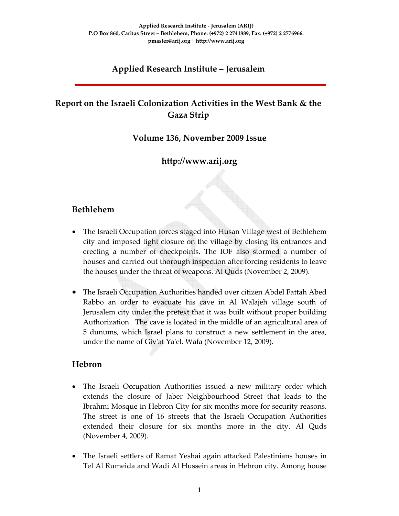## **Applied Research Institute – Jerusalem**

# **Report on the Israeli Colonization Activities in the West Bank & the Gaza Strip**

### **Volume 136, November 2009 Issue**

### **http://www.arij.org**

### **Bethlehem**

- The Israeli Occupation forces staged into Husan Village west of Bethlehem city and imposed tight closure on the village by closing its entrances and erecting a number of checkpoints. The IOF also stormed a number of houses and carried out thorough inspection after forcing residents to leave the houses under the threat of weapons. Al Quds (November 2, 2009).
- The Israeli Occupation Authorities handed over citizen Abdel Fattah Abed Rabbo an order to evacuate his cave in Al Walajeh village south of Jerusalem city under the pretext that it was built without proper building Authorization. The cave is located in the middle of an agricultural area of 5 dunums, which Israel plans to construct a new settlement in the area, under the name of Givʹat Yaʹel. Wafa (November 12, 2009).

### **Hebron**

- The Israeli Occupation Authorities issued a new military order which extends the closure of Jaber Neighbourhood Street that leads to the Ibrahmi Mosque in Hebron City for six months more for security reasons. The street is one of 16 streets that the Israeli Occupation Authorities extended their closure for six months more in the city. Al Quds (November 4, 2009).
- The Israeli settlers of Ramat Yeshai again attacked Palestinians houses in Tel Al Rumeida and Wadi Al Hussein areas in Hebron city. Among house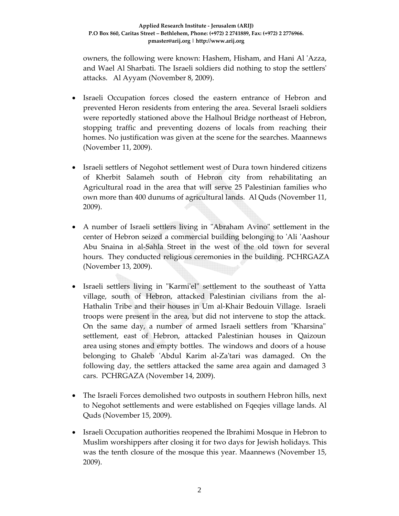owners, the following were known: Hashem, Hisham, and Hani Al ʹAzza, and Wael Al Sharbati. The Israeli soldiers did nothing to stop the settlersʹ attacks. Al Ayyam (November 8, 2009).

- Israeli Occupation forces closed the eastern entrance of Hebron and prevented Heron residents from entering the area. Several Israeli soldiers were reportedly stationed above the Halhoul Bridge northeast of Hebron, stopping traffic and preventing dozens of locals from reaching their homes. No justification was given at the scene for the searches. Maannews (November 11, 2009).
- Israeli settlers of Negohot settlement west of Dura town hindered citizens of Kherbit Salameh south of Hebron city from rehabilitating an Agricultural road in the area that will serve 25 Palestinian families who own more than 400 dunums of agricultural lands. Al Quds (November 11, 2009).
- A number of Israeli settlers living in "Abraham Avino" settlement in the center of Hebron seized a commercial building belonging to ʹAli ʹAashour Abu Snaina in al‐Sahla Street in the west of the old town for several hours. They conducted religious ceremonies in the building. PCHRGAZA (November 13, 2009).
- Israeli settlers living in "Karmi'el" settlement to the southeast of Yatta village, south of Hebron, attacked Palestinian civilians from the al‐ Hathalin Tribe and their houses in Um al‐Khair Bedouin Village. Israeli troops were present in the area, but did not intervene to stop the attack. On the same day, a number of armed Israeli settlers from "Kharsina" settlement, east of Hebron, attacked Palestinian houses in Qaizoun area using stones and empty bottles. The windows and doors of a house belonging to Ghaleb 'Abdul Karim al-Za'tari was damaged. On the following day, the settlers attacked the same area again and damaged 3 cars. PCHRGAZA (November 14, 2009).
- The Israeli Forces demolished two outposts in southern Hebron hills, next to Negohot settlements and were established on Fqeqies village lands. Al Quds (November 15, 2009).
- Israeli Occupation authorities reopened the Ibrahimi Mosque in Hebron to Muslim worshippers after closing it for two days for Jewish holidays. This was the tenth closure of the mosque this year. Maannews (November 15, 2009).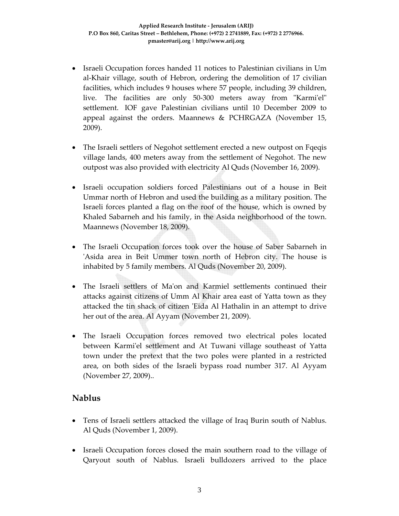- Israeli Occupation forces handed 11 notices to Palestinian civilians in Um al‐Khair village, south of Hebron, ordering the demolition of 17 civilian facilities, which includes 9 houses where 57 people, including 39 children, live. The facilities are only 50–300 meters away from "Karmi'el" settlement. IOF gave Palestinian civilians until 10 December 2009 to appeal against the orders. Maannews & PCHRGAZA (November 15, 2009).
- The Israeli settlers of Negohot settlement erected a new outpost on Fqeqis village lands, 400 meters away from the settlement of Negohot. The new outpost was also provided with electricity Al Quds (November 16, 2009).
- Israeli occupation soldiers forced Palestinians out of a house in Beit Ummar north of Hebron and used the building as a military position. The Israeli forces planted a flag on the roof of the house, which is owned by Khaled Sabarneh and his family, in the Asida neighborhood of the town. Maannews (November 18, 2009).
- The Israeli Occupation forces took over the house of Saber Sabarneh in ʹAsida area in Beit Ummer town north of Hebron city. The house is inhabited by 5 family members. Al Quds (November 20, 2009).
- The Israeli settlers of Ma'on and Karmiel settlements continued their attacks against citizens of Umm Al Khair area east of Yatta town as they attacked the tin shack of citizen 'Eida Al Hathalin in an attempt to drive her out of the area. Al Ayyam (November 21, 2009).
- The Israeli Occupation forces removed two electrical poles located between Karmiʹel settlement and At Tuwani village southeast of Yatta town under the pretext that the two poles were planted in a restricted area, on both sides of the Israeli bypass road number 317. Al Ayyam (November 27, 2009)..

### **Nablus**

- Tens of Israeli settlers attacked the village of Iraq Burin south of Nablus. Al Quds (November 1, 2009).
- Israeli Occupation forces closed the main southern road to the village of Qaryout south of Nablus. Israeli bulldozers arrived to the place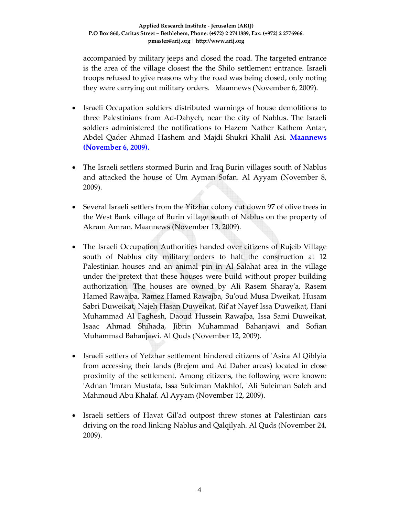accompanied by military jeeps and closed the road. The targeted entrance is the area of the village closest the the Shilo settlement entrance. Israeli troops refused to give reasons why the road was being closed, only noting they were carrying out military orders. Maannews (November 6, 2009).

- Israeli Occupation soldiers distributed warnings of house demolitions to three Palestinians from Ad‐Dahyeh, near the city of Nablus. The Israeli soldiers administered the notifications to Hazem Nather Kathem Antar, Abdel Qader Ahmad Hashem and Majdi Shukri Khalil Asi. **Maannews (November 6, 2009).**
- The Israeli settlers stormed Burin and Iraq Burin villages south of Nablus and attacked the house of Um Ayman Sofan. Al Ayyam (November 8, 2009).
- Several Israeli settlers from the Yitzhar colony cut down 97 of olive trees in the West Bank village of Burin village south of Nablus on the property of Akram Amran. Maannews (November 13, 2009).
- The Israeli Occupation Authorities handed over citizens of Rujeib Village south of Nablus city military orders to halt the construction at 12 Palestinian houses and an animal pin in Al Salahat area in the village under the pretext that these houses were build without proper building authorization. The houses are owned by Ali Rasem Sharay'a, Rasem Hamed Rawajba, Ramez Hamed Rawajba, Suʹoud Musa Dweikat, Husam Sabri Duweikat, Najeh Hasan Duweikat, Rifʹat Nayef Issa Duweikat, Hani Muhammad Al Faghesh, Daoud Hussein Rawajba, Issa Sami Duweikat, Isaac Ahmad Shihada, Jibrin Muhammad Bahanjawi and Sofian Muhammad Bahanjawi. Al Quds (November 12, 2009).
- Israeli settlers of Yetzhar settlement hindered citizens of ʹAsira Al Qiblyia from accessing their lands (Brejem and Ad Daher areas) located in close proximity of the settlement. Among citizens, the following were known: 'Adnan 'Imran Mustafa, Issa Suleiman Makhlof, 'Ali Suleiman Saleh and Mahmoud Abu Khalaf. Al Ayyam (November 12, 2009).
- Israeli settlers of Havat Gil'ad outpost threw stones at Palestinian cars driving on the road linking Nablus and Qalqilyah. Al Quds (November 24, 2009).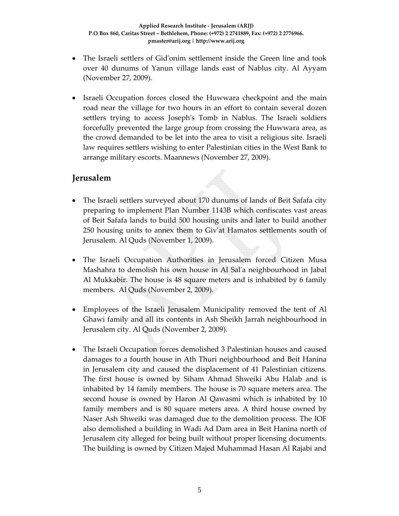- The Israeli settlers of Gid'onim settlement inside the Green line and took over 40 dunums of Yanun village lands east of Nablus city. Al Ayyam (November 27, 2009).
- Israeli Occupation forces closed the Huwwara checkpoint and the main road near the village for two hours in an effort to contain several dozen settlers trying to access Joseph's Tomb in Nablus. The Israeli soldiers forcefully prevented the large group from crossing the Huwwara area, as the crowd demanded to be let into the area to visit a religious site. Israeli law requires settlers wishing to enter Palestinian cities in the West Bank to arrange military escorts. Maannews (November 27, 2009).

### **Jerusalem**

- The Israeli settlers surveyed about 170 dunums of lands of Beit Safafa city preparing to implement Plan Number 1143B which confiscates vast areas of Beit Safafa lands to build 500 housing units and later to build another 250 housing units to annex them to Givʹat Hamatos settlements south of Jerusalem. Al Quds (November 1, 2009).
- The Israeli Occupation Authorities in Jerusalem forced Citizen Musa Mashahra to demolish his own house in Al Salʹa neighbourhood in Jabal Al Mukkabir. The house is 48 square meters and is inhabited by 6 family members. Al Quds (November 2, 2009).
- Employees of the Israeli Jerusalem Municipality removed the tent of Al Ghawi family and all its contents in Ash Sheikh Jarrah neighbourhood in Jerusalem city. Al Quds (November 2, 2009).
- The Israeli Occupation forces demolished 3 Palestinian houses and caused damages to a fourth house in Ath Thuri neighbourhood and Beit Hanina in Jerusalem city and caused the displacement of 41 Palestinian citizens. The first house is owned by Siham Ahmad Shweiki Abu Halab and is inhabited by 14 family members. The house is 70 square meters area. The second house is owned by Haron Al Qawasmi which is inhabited by 10 family members and is 80 square meters area. A third house owned by Naser Ash Shweiki was damaged due to the demolition process. The IOF also demolished a building in Wadi Ad Dam area in Beit Hanina north of Jerusalem city alleged for being built without proper licensing documents. The building is owned by Citizen Majed Muhammad Hasan Al Rajabi and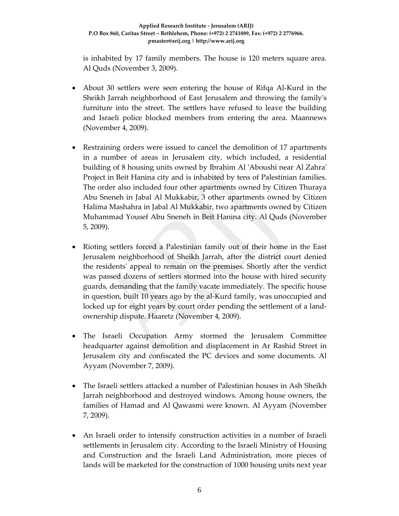#### **Applied Research Institute ‐ Jerusalem (ARIJ) P.O Box 860, Caritas Street – Bethlehem, Phone: (+972) 2 2741889, Fax: (+972) 2 2776966. pmaster@arij.org | http://www.arij.org**

is inhabited by 17 family members. The house is 120 meters square area. Al Quds (November 3, 2009).

- About 30 settlers were seen entering the house of Rifqa Al-Kurd in the Sheikh Jarrah neighborhood of East Jerusalem and throwing the familyʹs furniture into the street. The settlers have refused to leave the building and Israeli police blocked members from entering the area. Maannews (November 4, 2009).
- Restraining orders were issued to cancel the demolition of 17 apartments in a number of areas in Jerusalem city, which included, a residential building of 8 housing units owned by Ibrahim Al ʹAboushi near Al Zahraʹ Project in Beit Hanina city and is inhabited by tens of Palestinian families. The order also included four other apartments owned by Citizen Thuraya Abu Sneneh in Jabal Al Mukkabir, 3 other apartments owned by Citizen Halima Mashahra in Jabal Al Mukkabir, two apartments owned by Citizen Muhammad Yousef Abu Sneneh in Beit Hanina city. Al Quds (November 5, 2009).
- Rioting settlers forced a Palestinian family out of their home in the East Jerusalem neighborhood of Sheikh Jarrah, after the district court denied the residentsʹ appeal to remain on the premises. Shortly after the verdict was passed dozens of settlers stormed into the house with hired security guards, demanding that the family vacate immediately. The specific house in question, built 10 years ago by the al‐Kurd family, was unoccupied and locked up for eight years by court order pending the settlement of a land‐ ownership dispute. Haaretz (November 4, 2009).
- The Israeli Occupation Army stormed the Jerusalem Committee headquarter against demolition and displacement in Ar Rashid Street in Jerusalem city and confiscated the PC devices and some documents. Al Ayyam (November 7, 2009).
- The Israeli settlers attacked a number of Palestinian houses in Ash Sheikh Jarrah neighborhood and destroyed windows. Among house owners, the families of Hamad and Al Qawasmi were known. Al Ayyam (November 7, 2009).
- An Israeli order to intensify construction activities in a number of Israeli settlements in Jerusalem city. According to the Israeli Ministry of Housing and Construction and the Israeli Land Administration, more pieces of lands will be marketed for the construction of 1000 housing units next year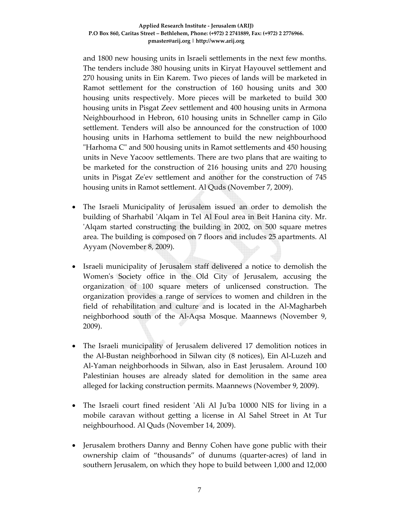and 1800 new housing units in Israeli settlements in the next few months. The tenders include 380 housing units in Kiryat Hayouvel settlement and 270 housing units in Ein Karem. Two pieces of lands will be marketed in Ramot settlement for the construction of 160 housing units and 300 housing units respectively. More pieces will be marketed to build 300 housing units in Pisgat Zeev settlement and 400 housing units in Armona Neighbourhood in Hebron, 610 housing units in Schneller camp in Gilo settlement. Tenders will also be announced for the construction of 1000 housing units in Harhoma settlement to build the new neighbourhood "Harhoma C" and 500 housing units in Ramot settlements and 450 housing units in Neve Yacoov settlements. There are two plans that are waiting to be marketed for the construction of 216 housing units and 270 housing units in Pisgat Zeʹev settlement and another for the construction of 745 housing units in Ramot settlement. Al Quds (November 7, 2009).

- The Israeli Municipality of Jerusalem issued an order to demolish the building of Sharhabil ʹAlqam in Tel Al Foul area in Beit Hanina city. Mr. ʹAlqam started constructing the building in 2002, on 500 square metres area. The building is composed on 7 floors and includes 25 apartments. Al Ayyam (November 8, 2009).
- Israeli municipality of Jerusalem staff delivered a notice to demolish the Womenʹs Society office in the Old City of Jerusalem, accusing the organization of 100 square meters of unlicensed construction. The organization provides a range of services to women and children in the field of rehabilitation and culture and is located in the Al‐Magharbeh neighborhood south of the Al‐Aqsa Mosque. Maannews (November 9, 2009).
- The Israeli municipality of Jerusalem delivered 17 demolition notices in the Al‐Bustan neighborhood in Silwan city (8 notices), Ein Al‐Luzeh and Al‐Yaman neighborhoods in Silwan, also in East Jerusalem. Around 100 Palestinian houses are already slated for demolition in the same area alleged for lacking construction permits. Maannews (November 9, 2009).
- The Israeli court fined resident ʹAli Al Juʹba 10000 NIS for living in a mobile caravan without getting a license in Al Sahel Street in At Tur neighbourhood. Al Quds (November 14, 2009).
- Jerusalem brothers Danny and Benny Cohen have gone public with their ownership claim of "thousands" of dunums (quarter‐acres) of land in southern Jerusalem, on which they hope to build between 1,000 and 12,000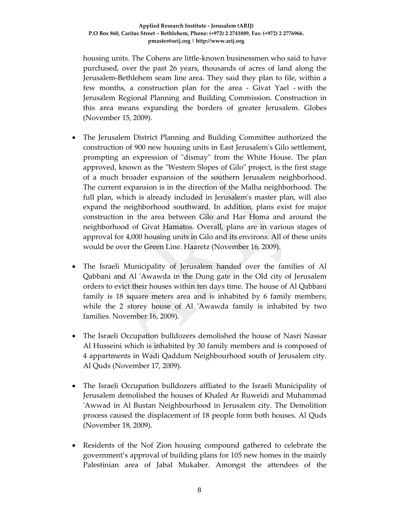#### **Applied Research Institute ‐ Jerusalem (ARIJ) P.O Box 860, Caritas Street – Bethlehem, Phone: (+972) 2 2741889, Fax: (+972) 2 2776966. pmaster@arij.org | http://www.arij.org**

housing units. The Cohens are little‐known businessmen who said to have purchased, over the past 26 years, thousands of acres of land along the Jerusalem‐Bethlehem seam line area. They said they plan to file, within a few months, a construction plan for the area ‐ Givat Yael ‐ with the Jerusalem Regional Planning and Building Commission. Construction in this area means expanding the borders of greater Jerusalem. Globes (November 15, 2009).

- The Jerusalem District Planning and Building Committee authorized the construction of 900 new housing units in East Jerusalemʹs Gilo settlement, prompting an expression of "dismay" from the White House. The plan approved, known as the "Western Slopes of Gilo" project, is the first stage of a much broader expansion of the southern Jerusalem neighborhood. The current expansion is in the direction of the Malha neighborhood. The full plan, which is already included in Jerusalem's master plan, will also expand the neighborhood southward. In addition, plans exist for major construction in the area between Gilo and Har Homa and around the neighborhood of Givat Hamatos. Overall, plans are in various stages of approval for 4,000 housing units in Gilo and its environs. All of these units would be over the Green Line. Haaretz (November 16, 2009).
- The Israeli Municipality of Jerusalem handed over the families of Al Qabbani and Al 'Awawda in the Dung gate in the Old city of Jerusalem orders to evict their houses within ten days time. The house of Al Qabbani family is 18 square meters area and is inhabited by 6 family members; while the 2 storey house of Al 'Awawda family is inhabited by two families. November 16, 2009).
- The Israeli Occupation bulldozers demolished the house of Nasri Nassar Al Husseini which is inhabited by 30 family members and is composed of 4 appartments in Wadi Qaddum Neighbourhood south of Jerusalem city. Al Quds (November 17, 2009).
- The Israeli Occupation bulldozers affliated to the Israeli Municipality of Jerusalem demolished the houses of Khaled Ar Ruweidi and Muhammad ʹAwwad in Al Bustan Neighbourhood in Jerusalem city. The Demolition process caused the displacement of 18 people form both houses. Al Quds (November 18, 2009).
- Residents of the Nof Zion housing compound gathered to celebrate the government's approval of building plans for 105 new homes in the mainly Palestinian area of Jabal Mukaber. Amongst the attendees of the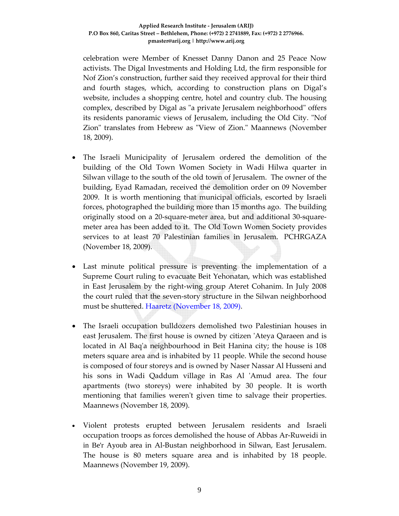celebration were Member of Knesset Danny Danon and 25 Peace Now activists. The Digal Investments and Holding Ltd, the firm responsible for Nof Zion's construction, further said they received approval for their third and fourth stages, which, according to construction plans on Digal's website, includes a shopping centre, hotel and country club. The housing complex, described by Digal as "a private Jerusalem neighborhood" offers its residents panoramic views of Jerusalem, including the Old City. "Nof Zion" translates from Hebrew as "View of Zion." Maannews (November 18, 2009).

- The Israeli Municipality of Jerusalem ordered the demolition of the building of the Old Town Women Society in Wadi Hilwa quarter in Silwan village to the south of the old town of Jerusalem. The owner of the building, Eyad Ramadan, received the demolition order on 09 November 2009. It is worth mentioning that municipal officials, escorted by Israeli forces, photographed the building more than 15 months ago. The building originally stood on a 20‐square‐meter area, but and additional 30‐square‐ meter area has been added to it. The Old Town Women Society provides services to at least 70 Palestinian families in Jerusalem. PCHRGAZA (November 18, 2009).
- Last minute political pressure is preventing the implementation of a Supreme Court ruling to evacuate Beit Yehonatan, which was established in East Jerusalem by the right‐wing group Ateret Cohanim. In July 2008 the court ruled that the seven‐story structure in the Silwan neighborhood must be shuttered. Haaretz (November 18, 2009).
- The Israeli occupation bulldozers demolished two Palestinian houses in east Jerusalem. The first house is owned by citizen ʹAteya Qaraeen and is located in Al Baq'a neighbourhood in Beit Hanina city; the house is 108 meters square area and is inhabited by 11 people. While the second house is composed of four storeys and is owned by Naser Nassar Al Husseni and his sons in Wadi Qaddum village in Ras Al 'Amud area. The four apartments (two storeys) were inhabited by 30 people. It is worth mentioning that families weren't given time to salvage their properties. Maannews (November 18, 2009).
- Violent protests erupted between Jerusalem residents and Israeli occupation troops as forces demolished the house of Abbas Ar‐Ruweidi in in Be'r Ayoub area in Al‐Bustan neighborhood in Silwan, East Jerusalem. The house is 80 meters square area and is inhabited by 18 people. Maannews (November 19, 2009).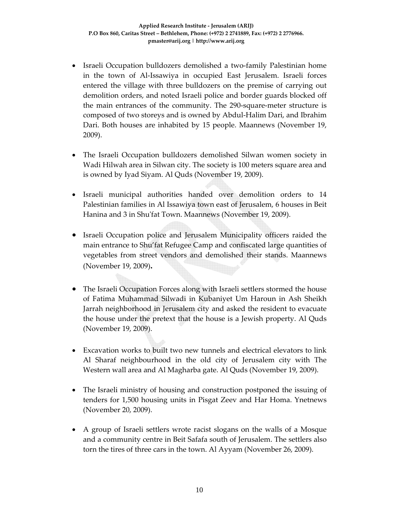- Israeli Occupation bulldozers demolished a two-family Palestinian home in the town of Al‐Issawiya in occupied East Jerusalem. Israeli forces entered the village with three bulldozers on the premise of carrying out demolition orders, and noted Israeli police and border guards blocked off the main entrances of the community. The 290‐square‐meter structure is composed of two storeys and is owned by Abdul‐Halim Dari, and Ibrahim Dari. Both houses are inhabited by 15 people. Maannews (November 19, 2009).
- The Israeli Occupation bulldozers demolished Silwan women society in Wadi Hilwah area in Silwan city. The society is 100 meters square area and is owned by Iyad Siyam. Al Quds (November 19, 2009).
- Israeli municipal authorities handed over demolition orders to 14 Palestinian families in Al Issawiya town east of Jerusalem, 6 houses in Beit Hanina and 3 in Shu'fat Town. Maannews (November 19, 2009).
- Israeli Occupation police and Jerusalem Municipality officers raided the main entrance to Shu'fat Refugee Camp and confiscated large quantities of vegetables from street vendors and demolished their stands. Maannews (November 19, 2009)**.**
- The Israeli Occupation Forces along with Israeli settlers stormed the house of Fatima Muhammad Silwadi in Kubaniyet Um Haroun in Ash Sheikh Jarrah neighborhood in Jerusalem city and asked the resident to evacuate the house under the pretext that the house is a Jewish property. Al Quds (November 19, 2009).
- Excavation works to built two new tunnels and electrical elevators to link Al Sharaf neighbourhood in the old city of Jerusalem city with The Western wall area and Al Magharba gate. Al Quds (November 19, 2009).
- The Israeli ministry of housing and construction postponed the issuing of tenders for 1,500 housing units in Pisgat Zeev and Har Homa. Ynetnews (November 20, 2009).
- A group of Israeli settlers wrote racist slogans on the walls of a Mosque and a community centre in Beit Safafa south of Jerusalem. The settlers also torn the tires of three cars in the town. Al Ayyam (November 26, 2009).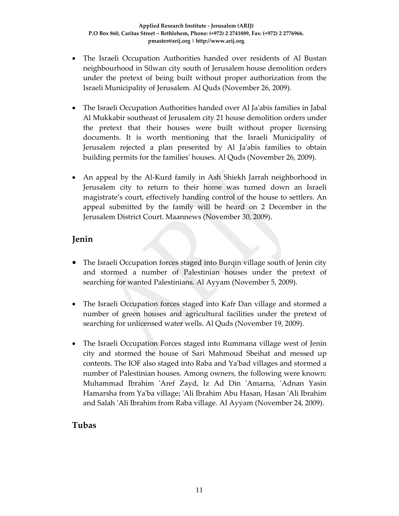- The Israeli Occupation Authorities handed over residents of Al Bustan neighbourhood in Silwan city south of Jerusalem house demolition orders under the pretext of being built without proper authorization from the Israeli Municipality of Jerusalem. Al Quds (November 26, 2009).
- The Israeli Occupation Authorities handed over Al Jaʹabis families in Jabal Al Mukkabir southeast of Jerusalem city 21 house demolition orders under the pretext that their houses were built without proper licensing documents. It is worth mentioning that the Israeli Municipality of Jerusalem rejected a plan presented by Al Jaʹabis families to obtain building permits for the familiesʹ houses. Al Quds (November 26, 2009).
- An appeal by the Al-Kurd family in Ash Shiekh Jarrah neighborhood in Jerusalem city to return to their home was turned down an Israeli magistrate's court, effectively handing control of the house to settlers. An appeal submitted by the family will be heard on 2 December in the Jerusalem District Court. Maannews (November 30, 2009).

### **Jenin**

- The Israeli Occupation forces staged into Burqin village south of Jenin city and stormed a number of Palestinian houses under the pretext of searching for wanted Palestinians. Al Ayyam (November 5, 2009).
- The Israeli Occupation forces staged into Kafr Dan village and stormed a number of green houses and agricultural facilities under the pretext of searching for unlicensed water wells. Al Quds (November 19, 2009).
- The Israeli Occupation Forces staged into Rummana village west of Jenin city and stormed the house of Sari Mahmoud Sbeihat and messed up contents. The IOF also staged into Raba and Yaʹbad villages and stormed a number of Palestinian houses. Among owners, the following were known: Muhammad Ibrahim ʹAref Zayd, Iz Ad Din ʹAmarna, ʹAdnan Yasin Hamarsha from Yaʹba village; ʹAli Ibrahim Abu Hasan, Hasan ʹAli Ibrahim and Salah ʹAli Ibrahim from Raba village. Al Ayyam (November 24, 2009).

### **Tubas**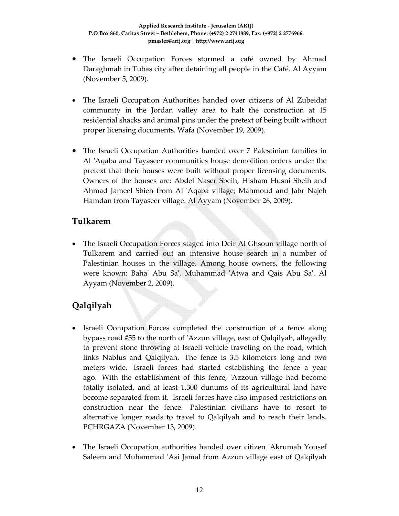- The Israeli Occupation Forces stormed a café owned by Ahmad Daraghmah in Tubas city after detaining all people in the Café. Al Ayyam (November 5, 2009).
- The Israeli Occupation Authorities handed over citizens of Al Zubeidat community in the Jordan valley area to halt the construction at 15 residential shacks and animal pins under the pretext of being built without proper licensing documents. Wafa (November 19, 2009).
- The Israeli Occupation Authorities handed over 7 Palestinian families in Al 'Aqaba and Tayaseer communities house demolition orders under the pretext that their houses were built without proper licensing documents. Owners of the houses are: Abdel Naser Sbeih, Hisham Husni Sbeih and Ahmad Jameel Sbieh from Al ʹAqaba village; Mahmoud and Jabr Najeh Hamdan from Tayaseer village. Al Ayyam (November 26, 2009).

### **Tulkarem**

• The Israeli Occupation Forces staged into Deir Al Ghsoun village north of Tulkarem and carried out an intensive house search in a number of Palestinian houses in the village. Among house owners, the following were known: Bahaʹ Abu Saʹ, Muhammad ʹAtwa and Qais Abu Saʹ. Al Ayyam (November 2, 2009).

# **Qalqilyah**

- Israeli Occupation Forces completed the construction of a fence along bypass road #55 to the north of ʹAzzun village, east of Qalqilyah, allegedly to prevent stone throwing at Israeli vehicle traveling on the road, which links Nablus and Qalqilyah. The fence is 3.5 kilometers long and two meters wide. Israeli forces had started establishing the fence a year ago. With the establishment of this fence, 'Azzoun village had become totally isolated, and at least 1,300 dunums of its agricultural land have become separated from it. Israeli forces have also imposed restrictions on construction near the fence. Palestinian civilians have to resort to alternative longer roads to travel to Qalqilyah and to reach their lands. PCHRGAZA (November 13, 2009).
- The Israeli Occupation authorities handed over citizen 'Akrumah Yousef Saleem and Muhammad ʹAsi Jamal from Azzun village east of Qalqilyah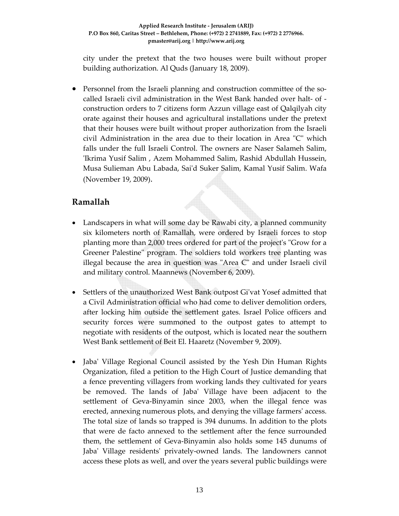city under the pretext that the two houses were built without proper building authorization. Al Quds (January 18, 2009).

Personnel from the Israeli planning and construction committee of the socalled Israeli civil administration in the West Bank handed over halt‐ of ‐ construction orders to 7 citizens form Azzun village east of Qalqilyah city orate against their houses and agricultural installations under the pretext that their houses were built without proper authorization from the Israeli civil Administration in the area due to their location in Area "C" which falls under the full Israeli Control. The owners are Naser Salameh Salim, ʹIkrima Yusif Salim , Azem Mohammed Salim, Rashid Abdullah Hussein, Musa Sulieman Abu Labada, Saiʹd Suker Salim, Kamal Yusif Salim. Wafa (November 19, 2009).

### **Ramallah**

- Landscapers in what will some day be Rawabi city, a planned community six kilometers north of Ramallah, were ordered by Israeli forces to stop planting more than 2,000 trees ordered for part of the project's "Grow for a Greener Palestine" program. The soldiers told workers tree planting was illegal because the area in question was "Area  $C$ " and under Israeli civil and military control. Maannews (November 6, 2009).
- Settlers of the unauthorized West Bank outpost Gi'vat Yosef admitted that a Civil Administration official who had come to deliver demolition orders, after locking him outside the settlement gates. Israel Police officers and security forces were summoned to the outpost gates to attempt to negotiate with residents of the outpost, which is located near the southern West Bank settlement of Beit El. Haaretz (November 9, 2009).
- Jabaʹ Village Regional Council assisted by the Yesh Din Human Rights Organization, filed a petition to the High Court of Justice demanding that a fence preventing villagers from working lands they cultivated for years be removed. The lands of Jabaʹ Village have been adjacent to the settlement of Geva-Binyamin since 2003, when the illegal fence was erected, annexing numerous plots, and denying the village farmers' access. The total size of lands so trapped is 394 dunums. In addition to the plots that were de facto annexed to the settlement after the fence surrounded them, the settlement of Geva‐Binyamin also holds some 145 dunums of Jaba' Village residents' privately-owned lands. The landowners cannot access these plots as well, and over the years several public buildings were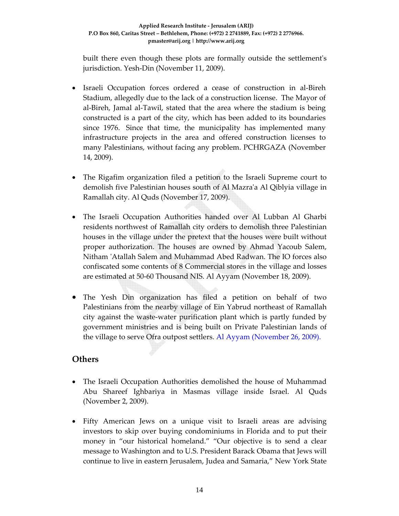built there even though these plots are formally outside the settlementʹs jurisdiction. Yesh‐Din (November 11, 2009).

- Israeli Occupation forces ordered a cease of construction in al-Bireh Stadium, allegedly due to the lack of a construction license. The Mayor of al‐Bireh, Jamal al‐Tawil, stated that the area where the stadium is being constructed is a part of the city, which has been added to its boundaries since 1976. Since that time, the municipality has implemented many infrastructure projects in the area and offered construction licenses to many Palestinians, without facing any problem. PCHRGAZA (November 14, 2009).
- The Rigafim organization filed a petition to the Israeli Supreme court to demolish five Palestinian houses south of Al Mazraʹa Al Qiblyia village in Ramallah city. Al Quds (November 17, 2009).
- The Israeli Occupation Authorities handed over Al Lubban Al Gharbi residents northwest of Ramallah city orders to demolish three Palestinian houses in the village under the pretext that the houses were built without proper authorization. The houses are owned by Ahmad Yacoub Salem, Nitham ʹAtallah Salem and Muhammad Abed Radwan. The IO forces also confiscated some contents of 8 Commercial stores in the village and losses are estimated at 50‐60 Thousand NIS. Al Ayyam (November 18, 2009).
- The Yesh Din organization has filed a petition on behalf of two Palestinians from the nearby village of Ein Yabrud northeast of Ramallah city against the waste‐water purification plant which is partly funded by government ministries and is being built on Private Palestinian lands of the village to serve Ofra outpost settlers. Al Ayyam (November 26, 2009).

### **Others**

- The Israeli Occupation Authorities demolished the house of Muhammad Abu Shareef Ighbariya in Masmas village inside Israel. Al Quds (November 2, 2009).
- Fifty American Jews on a unique visit to Israeli areas are advising investors to skip over buying condominiums in Florida and to put their money in "our historical homeland." "Our objective is to send a clear message to Washington and to U.S. President Barack Obama that Jews will continue to live in eastern Jerusalem, Judea and Samaria," New York State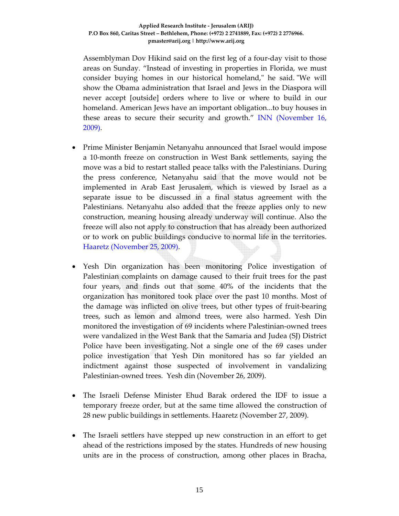Assemblyman Dov Hikind said on the first leg of a four‐day visit to those areas on Sunday. "Instead of investing in properties in Florida, we must consider buying homes in our historical homeland," he said. "We will show the Obama administration that Israel and Jews in the Diaspora will never accept [outside] orders where to live or where to build in our homeland. American Jews have an important obligation...to buy houses in these areas to secure their security and growth." INN (November 16, 2009).

- Prime Minister Benjamin Netanyahu announced that Israel would impose a 10‐month freeze on construction in West Bank settlements, saying the move was a bid to restart stalled peace talks with the Palestinians. During the press conference, Netanyahu said that the move would not be implemented in Arab East Jerusalem, which is viewed by Israel as a separate issue to be discussed in a final status agreement with the Palestinians. Netanyahu also added that the freeze applies only to new construction, meaning housing already underway will continue. Also the freeze will also not apply to construction that has already been authorized or to work on public buildings conducive to normal life in the territories. Haaretz (November 25, 2009).
- Yesh Din organization has been monitoring Police investigation of Palestinian complaints on damage caused to their fruit trees for the past four years, and finds out that some 40% of the incidents that the organization has monitored took place over the past 10 months. Most of the damage was inflicted on olive trees, but other types of fruit‐bearing trees, such as lemon and almond trees, were also harmed. Yesh Din monitored the investigation of 69 incidents where Palestinian‐owned trees were vandalized in the West Bank that the Samaria and Judea (SJ) District Police have been investigating. Not a single one of the 69 cases under police investigation that Yesh Din monitored has so far yielded an indictment against those suspected of involvement in vandalizing Palestinian‐owned trees. Yesh din (November 26, 2009).
- The Israeli Defense Minister Ehud Barak ordered the IDF to issue a temporary freeze order, but at the same time allowed the construction of 28 new public buildings in settlements. Haaretz (November 27, 2009).
- The Israeli settlers have stepped up new construction in an effort to get ahead of the restrictions imposed by the states. Hundreds of new housing units are in the process of construction, among other places in Bracha,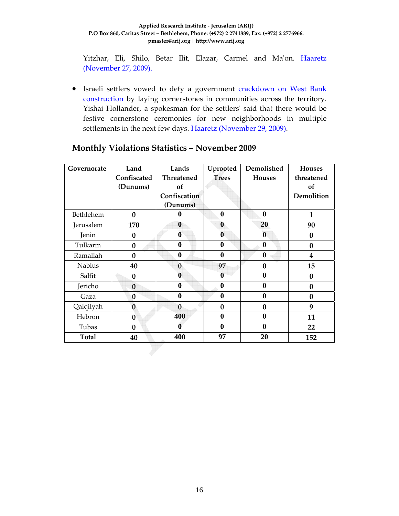#### **Applied Research Institute ‐ Jerusalem (ARIJ) P.O Box 860, Caritas Street – Bethlehem, Phone: (+972) 2 2741889, Fax: (+972) 2 2776966. pmaster@arij.org | http://www.arij.org**

Yitzhar, Eli, Shilo, Betar Ilit, Elazar, Carmel and Ma'on. Haaretz (November 27, 2009).

• Israeli settlers vowed to defy a government crackdown on West Bank construction by laying cornerstones in communities across the territory. Yishai Hollander, a spokesman for the settlersʹ said that there would be festive cornerstone ceremonies for new neighborhoods in multiple settlements in the next few days. Haaretz (November 29, 2009).

| Governorate   | Land        | Lands        | Uprooted         | Demolished       | <b>Houses</b>           |
|---------------|-------------|--------------|------------------|------------------|-------------------------|
|               | Confiscated | Threatened   | <b>Trees</b>     | <b>Houses</b>    | threatened              |
|               | (Dunums)    | of           |                  |                  | of                      |
|               |             | Confiscation |                  |                  | Demolition              |
|               |             | (Dunums)     |                  |                  |                         |
| Bethlehem     | $\bf{0}$    | 0            | $\bf{0}$         | $\bf{0}$         | $\mathbf{1}$            |
| Jerusalem     | 170         | $\bf{0}$     | $\bf{0}$         | 20               | 90                      |
| Jenin         | $\bf{0}$    | $\bf{0}$     | $\bf{0}$         | $\bf{0}$         | 0                       |
| Tulkarm       | $\bf{0}$    | $\bf{0}$     | $\bf{0}$         | $\bf{0}$         | $\bf{0}$                |
| Ramallah      | $\bf{0}$    | $\bf{0}$     | $\bf{0}$         | $\bf{0}$         | $\overline{\mathbf{4}}$ |
| <b>Nablus</b> | 40          | $\bf{0}$     | 97               | $\bf{0}$         | 15                      |
| Salfit        | $\bf{0}$    | 0            | $\boldsymbol{0}$ | $\bf{0}$         | 0                       |
| Jericho       | $\bf{0}$    | 0            | 0                | $\mathbf{0}$     | $\bf{0}$                |
| Gaza          | $\bf{0}$    | 0            | 0                | $\bf{0}$         | $\bf{0}$                |
| Qalqilyah     | $\bf{0}$    | $\bf{0}$     | $\bf{0}$         | $\bf{0}$         | 9                       |
| Hebron        | $\bf{0}$    | 400          | $\bf{0}$         | $\bf{0}$         | 11                      |
| Tubas         | $\bf{0}$    | 0            | $\bf{0}$         | $\boldsymbol{0}$ | 22                      |
| <b>Total</b>  | 40          | 400          | 97               | 20               | 152                     |

### **Monthly Violations Statistics – November 2009**